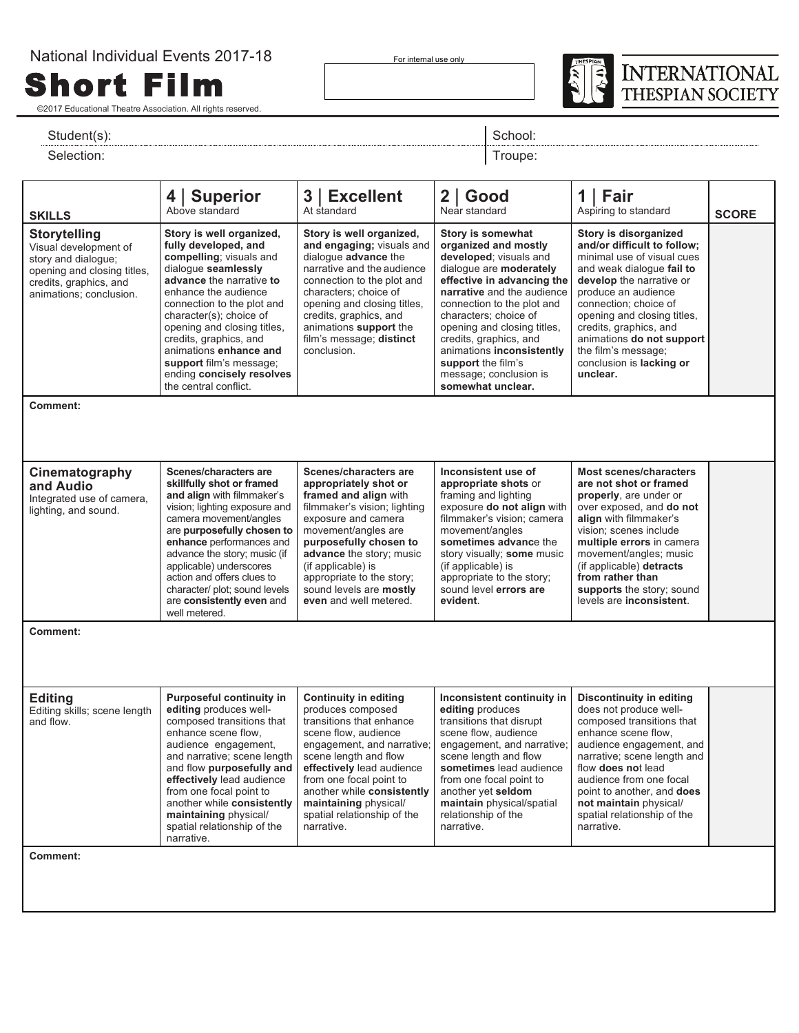For internal use only



©2017 Educational Theatre Association. All rights reserved.

Short Film

## Student(s): Student(s): Student(s): School: Student(s): School: School: Student(s): School: School: School: School: School: School: School: School: School: School: School: School: School: School: School: School: School: Sc

Selection: Troupe: The Selection: Troupe: The Selection: Troupe: The Selection: Troupe: The Selection: Troupe: The Selection: The Selection: The Selection: The Selection: The Selection: The Selection: The Selection: The Se

| <b>SKILLS</b>                                                                                                                                           |                                                                                                                                                                                                                                                                                                                                                                                                    | 3   Excellent                                                                                                                                                                                                                                                                                                            | $2  $ Good                                                                                                                                                                                                                                                                                                                                                                                                                                                                                                                                                                                                                                                        | Fair<br>1 I                                                                                                                                                                                                                                                                                                                                  |              |
|---------------------------------------------------------------------------------------------------------------------------------------------------------|----------------------------------------------------------------------------------------------------------------------------------------------------------------------------------------------------------------------------------------------------------------------------------------------------------------------------------------------------------------------------------------------------|--------------------------------------------------------------------------------------------------------------------------------------------------------------------------------------------------------------------------------------------------------------------------------------------------------------------------|-------------------------------------------------------------------------------------------------------------------------------------------------------------------------------------------------------------------------------------------------------------------------------------------------------------------------------------------------------------------------------------------------------------------------------------------------------------------------------------------------------------------------------------------------------------------------------------------------------------------------------------------------------------------|----------------------------------------------------------------------------------------------------------------------------------------------------------------------------------------------------------------------------------------------------------------------------------------------------------------------------------------------|--------------|
|                                                                                                                                                         | 4   Superior<br>Above standard                                                                                                                                                                                                                                                                                                                                                                     | At standard                                                                                                                                                                                                                                                                                                              | Near standard                                                                                                                                                                                                                                                                                                                                                                                                                                                                                                                                                                                                                                                     | Aspiring to standard                                                                                                                                                                                                                                                                                                                         | <b>SCORE</b> |
| <b>Storytelling</b><br>Visual development of<br>story and dialogue;<br>opening and closing titles,<br>credits, graphics, and<br>animations; conclusion. | Story is well organized,<br>fully developed, and<br>compelling; visuals and<br>dialogue seamlessly<br>advance the narrative to<br>enhance the audience<br>connection to the plot and<br>character(s); choice of<br>opening and closing titles,<br>credits, graphics, and<br>animations enhance and<br>conclusion.<br>support film's message;<br>ending concisely resolves<br>the central conflict. |                                                                                                                                                                                                                                                                                                                          | Story is well organized,<br>Story is somewhat<br>and engaging; visuals and<br>organized and mostly<br>dialogue advance the<br>developed; visuals and<br>narrative and the audience<br>dialogue are moderately<br>connection to the plot and<br>effective in advancing the<br>characters; choice of<br>narrative and the audience<br>opening and closing titles,<br>connection to the plot and<br>credits, graphics, and<br>characters; choice of<br>animations support the<br>opening and closing titles,<br>film's message; distinct<br>credits, graphics, and<br>animations inconsistently<br>support the film's<br>message; conclusion is<br>somewhat unclear. |                                                                                                                                                                                                                                                                                                                                              |              |
| Comment:                                                                                                                                                |                                                                                                                                                                                                                                                                                                                                                                                                    |                                                                                                                                                                                                                                                                                                                          |                                                                                                                                                                                                                                                                                                                                                                                                                                                                                                                                                                                                                                                                   |                                                                                                                                                                                                                                                                                                                                              |              |
|                                                                                                                                                         |                                                                                                                                                                                                                                                                                                                                                                                                    |                                                                                                                                                                                                                                                                                                                          |                                                                                                                                                                                                                                                                                                                                                                                                                                                                                                                                                                                                                                                                   |                                                                                                                                                                                                                                                                                                                                              |              |
| Cinematography<br>and Audio<br>Integrated use of camera,<br>lighting, and sound.                                                                        | Scenes/characters are<br>skillfully shot or framed<br>and align with filmmaker's<br>vision; lighting exposure and<br>camera movement/angles<br>are purposefully chosen to<br>enhance performances and<br>advance the story; music (if<br>applicable) underscores<br>action and offers clues to<br>character/ plot; sound levels<br>are consistently even and<br>well metered.                      | Scenes/characters are<br>appropriately shot or<br>framed and align with<br>filmmaker's vision; lighting<br>exposure and camera<br>movement/angles are<br>purposefully chosen to<br>advance the story; music<br>(if applicable) is<br>appropriate to the story;<br>sound levels are mostly<br>even and well metered.      | Inconsistent use of<br>appropriate shots or<br>framing and lighting<br>exposure do not align with<br>filmmaker's vision; camera<br>movement/angles<br>sometimes advance the<br>story visually; some music<br>(if applicable) is<br>appropriate to the story;<br>sound level errors are<br>evident.                                                                                                                                                                                                                                                                                                                                                                | <b>Most scenes/characters</b><br>are not shot or framed<br>properly, are under or<br>over exposed, and do not<br>align with filmmaker's<br>vision; scenes include<br>multiple errors in camera<br>movement/angles; music<br>(if applicable) detracts<br>from rather than<br>supports the story; sound<br>levels are inconsistent.            |              |
| Comment:                                                                                                                                                |                                                                                                                                                                                                                                                                                                                                                                                                    |                                                                                                                                                                                                                                                                                                                          |                                                                                                                                                                                                                                                                                                                                                                                                                                                                                                                                                                                                                                                                   |                                                                                                                                                                                                                                                                                                                                              |              |
|                                                                                                                                                         |                                                                                                                                                                                                                                                                                                                                                                                                    |                                                                                                                                                                                                                                                                                                                          |                                                                                                                                                                                                                                                                                                                                                                                                                                                                                                                                                                                                                                                                   |                                                                                                                                                                                                                                                                                                                                              |              |
| <b>Editing</b><br>Editing skills; scene length<br>and flow.                                                                                             | <b>Purposeful continuity in</b><br>editing produces well-<br>composed transitions that<br>enhance scene flow.<br>audience engagement,<br>and narrative; scene length<br>and flow purposefully and<br>effectively lead audience<br>from one focal point to<br>another while consistently<br>maintaining physical/<br>spatial relationship of the<br>narrative.                                      | <b>Continuity in editing</b><br>produces composed<br>transitions that enhance<br>scene flow, audience<br>engagement, and narrative;<br>scene length and flow<br>effectively lead audience<br>from one focal point to<br>another while consistently<br>maintaining physical/<br>spatial relationship of the<br>narrative. | Inconsistent continuity in<br>editing produces<br>transitions that disrupt<br>scene flow, audience<br>engagement, and narrative;<br>scene length and flow<br>sometimes lead audience<br>from one focal point to<br>another yet seldom<br>maintain physical/spatial<br>relationship of the<br>narrative.                                                                                                                                                                                                                                                                                                                                                           | <b>Discontinuity in editing</b><br>does not produce well-<br>composed transitions that<br>enhance scene flow.<br>audience engagement, and<br>narrative; scene length and<br>flow <b>does</b> not lead<br>audience from one focal<br>point to another, and <b>does</b><br>not maintain physical/<br>spatial relationship of the<br>narrative. |              |
| Comment:                                                                                                                                                |                                                                                                                                                                                                                                                                                                                                                                                                    |                                                                                                                                                                                                                                                                                                                          |                                                                                                                                                                                                                                                                                                                                                                                                                                                                                                                                                                                                                                                                   |                                                                                                                                                                                                                                                                                                                                              |              |
|                                                                                                                                                         |                                                                                                                                                                                                                                                                                                                                                                                                    |                                                                                                                                                                                                                                                                                                                          |                                                                                                                                                                                                                                                                                                                                                                                                                                                                                                                                                                                                                                                                   |                                                                                                                                                                                                                                                                                                                                              |              |
|                                                                                                                                                         |                                                                                                                                                                                                                                                                                                                                                                                                    |                                                                                                                                                                                                                                                                                                                          |                                                                                                                                                                                                                                                                                                                                                                                                                                                                                                                                                                                                                                                                   |                                                                                                                                                                                                                                                                                                                                              |              |
|                                                                                                                                                         |                                                                                                                                                                                                                                                                                                                                                                                                    |                                                                                                                                                                                                                                                                                                                          |                                                                                                                                                                                                                                                                                                                                                                                                                                                                                                                                                                                                                                                                   |                                                                                                                                                                                                                                                                                                                                              |              |